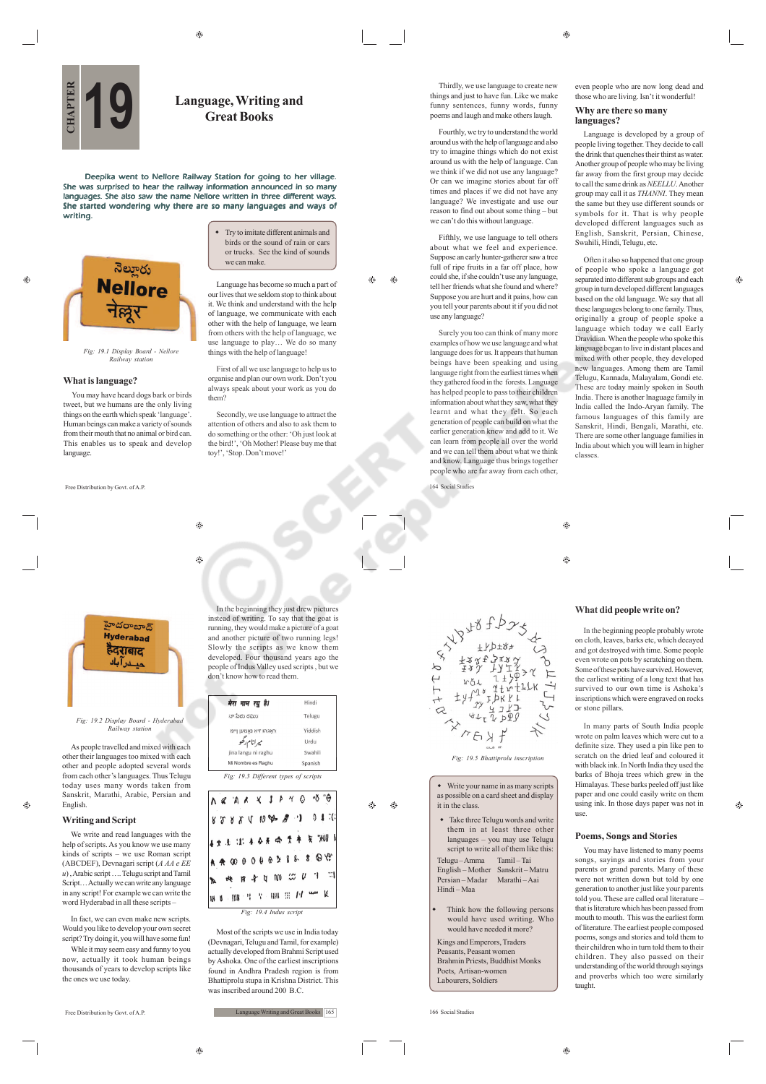$\hat{c}$ 

# **CHAPTER 1996**<br>CHAPTER *CHAPTER Secare Books* **Great Books**

Deepika went to Nellore Railway Station for going to her village. She was surprised to hear the railway information announced in so many languages. She also saw the name Nellore written in three different ways. She started wondering why there are so many languages and ways of writing.

నెల్మూరు **Nellore** नेल्लूर

#### **What is language?**

Ó.

You may have heard dogs bark or birds tweet, but we humans are the only living things on the earth which speak 'language'. Human beings can make a variety of sounds from their mouth that no animal or bird can. This enables us to speak and develop language.

Free Distribution by Govt. of A.P.

 $\qquad \qquad \textcircled{\scriptsize{9}}$ ⊕ them?

హైదరాబాద్ **Hyderahad** हैदराबाद حيـــــــــر آ بـاك

#### *Fig: 19.2 Display Board - Hyderabad Railway station*

As people travelled and mixed with each other their languages too mixed with each other and people adopted several words from each other's languages. Thus Telugu today uses many words taken from Sanskrit, Marathi, Arabic, Persian and English.

## **Writing and Script**

 $\hat{\mathbf{e}}$ 

We write and read languages with the help of scripts. As you know we use many kinds of scripts – we use Roman script (ABCDEF), Devnagari script (*A AA e EE u*) , Arabic script …. Telugu script and Tamil Script… Actually we can write any language in any script! For example we can write the word Hyderabad in all these scripts –

In fact, we can even make new scripts. Would you like to develop your own secret script? Try doing it, you will have some fun!

Whle it may seem easy and funny to you now, actually it took human beings thousands of years to develop scripts like the ones we use today.

Free Distribution by Govt. of A.P.

 Try to imitate different animals and birds or the sound of rain or cars or trucks. See the kind of sounds we can make.

Language has become so much a part of our lives that we seldom stop to think about it. We think and understand with the help of language, we communicate with each other with the help of language, we learn from others with the help of language, we use language to play... We do so many things with the help of language! First of all we use language to help us to organise and plan our own work. Don't you always speak about your work as you do

Secondly, we use language to attract the attention of others and also to ask them to do something or the other: 'Oh just look at the bird!', 'Oh Mother! Please buy me that

In the beginning they just drew pictures instead of writing. To say that the goat is running, they would make a picture of a goat and another picture of two running legs! Slowly the scripts as we know them developed. Four thousand years ago the people of Indus Valley used scripts , but we don't know how to read them.

Hindi

Telugu

Yiddish

Urdu Swahili

Spanish

Æ۵  $\bigoplus$ 

toy!', 'Stop. Don't move!'

 $\triangle$ 

 $\bigoplus$ 

Thirdly, we use language to create new things and just to have fun. Like we make funny sentences, funny words, funny poems and laugh and make others laugh.

Fourthly, we try to understand the world around us with the help of language and also try to imagine things which do not exist around us with the help of language. Can we think if we did not use any language? Or can we imagine stories about far off times and places if we did not have any language? We investigate and use our reason to find out about some thing – but we can't do this without language.

Fifthly, we use language to tell others about what we feel and experience. Suppose an early hunter-gatherer saw a tree full of ripe fruits in a far off place, how could she, if she couldn't use any language, tell her friends what she found and where? Suppose you are hurt and it pains, how can you tell your parents about it if you did not use any language?

Surely you too can think of many more examples of how we use language and what language does for us. It appears that human beings have been speaking and using language right from the earliest times when they gathered food in the forests. Language has helped people to pass to their children information about what they saw, what they learnt and what they felt. So each generation of people can build on what the earlier generation knew and add to it. We can learn from people all over the world and we can tell them about what we think and know. Language thus brings together people who are far away from each other, 164 Social Studies

even people who are now long dead and those who are living. Isn't it wonderful!

#### **Why are there so many languages?**

Language is developed by a group of people living together. They decide to call the drink that quenches their thirst as water. Another group of people who may be living far away from the first group may decide to call the same drink as *NEELLU*. Another group may call it as *THANNI*. They mean the same but they use different sounds or symbols for it. That is why people developed different languages such as English, Sanskrit, Persian, Chinese, Swahili, Hindi, Telugu, etc.

Often it also so happened that one group of people who spoke a language got separated into different sub groups and each group in turn developed different languages based on the old language. We say that all these languages belong to one family. Thus, originally a group of people spoke a language which today we call Early Dravidian. When the people who spoke this language began to live in distant places and mixed with other people, they developed new languages. Among them are Tamil Telugu, Kannada, Malayalam, Gondi etc. These are today mainly spoken in South India. There is another lnaguage family in India called the Indo-Aryan family. The famous languages of this family are Sanskrit, Hindi, Bengali, Marathi, etc. There are some other language families in India about which you will learn in higher classes.

 $\bigcirc$ ⊕

## **What did people write on?**

In the beginning people probably wrote on cloth, leaves, barks etc, which decayed and got destroyed with time. Some people even wrote on pots by scratching on them. Some of these pots have survived. However, the earliest writing of a long text that has survived to our own time is Ashoka's survived to our own time is Ashoka's<br>inscriptions which were engraved on rocks or stone pillars.

In many parts of South India people wrote on palm leaves which were cut to a definite size. They used a pin like pen to scratch on the dried leaf and coloured it with black ink. In North India they used the barks of Bhoja trees which grew in the Himalayas. These barks peeled off just like paper and one could easily write on them using ink. In those days paper was not in use.

## **Poems, Songs and Stories**

You may have listened to many poems songs, sayings and stories from your parents or grand parents. Many of these were not written down but told by one generation to another just like your parents told you. These are called oral literature – that is literature which has been passed from mouth to mouth. This was the earliest form of literature. The earliest people composed poems, songs and stories and told them to their children who in turn told them to their children. They also passed on their understanding of the world through sayings and proverbs which too were similarly taught.

(Devnagari, Telugu and Tamil, for example) actually developed from Brahmi Script used by Ashoka. One of the earliest inscriptions found in Andhra Pradesh region is from Bhattiprolu stupa in Krishna District. This was inscribed around 200 B.C.

Most of the scripts we use in India today

*Fig: 19.4 Indus script*

*Fig: 19.3 Different types of scripts*

A Z A X X J A Y O 'O 'O

82884000 8 1 01 **4女法 出 本分开 ☆ 女キ 矢 "HUD** A 4 00 0 0 0 0 2 8 8 8 9 99 **按 R 全 Q M 公 U T T ME WE'LL A SHOW IT IS NOT THE R** 

Mi Nombre es Raghu

jina langu ni raghu

ראגהו זיא נאמען ויימ

میرانام رگھو

मेरा नाम रघु है।

:<br>హా పేరు రఘు

**Language Writing and Great Books** 165

۵

A



 Take three Telugu words and write them in at least three other languages – you may use Telugu script to write all of them like this: Telugu – Amma Tamil – Tai English – Mother Sanskrit – Matru Persian – Madar Marathi – Aai Hindi – Maa

 Think how the following persons would have used writing. Who would have needed it more?

Kings and Emperors, Traders Peasants, Peasant women Brahmin Priests, Buddhist Monks Poets, Artisan-women Labourers, Soldiers

166 Social Studies

*Fig: 19.1 Display Board - Nellore Railway station*